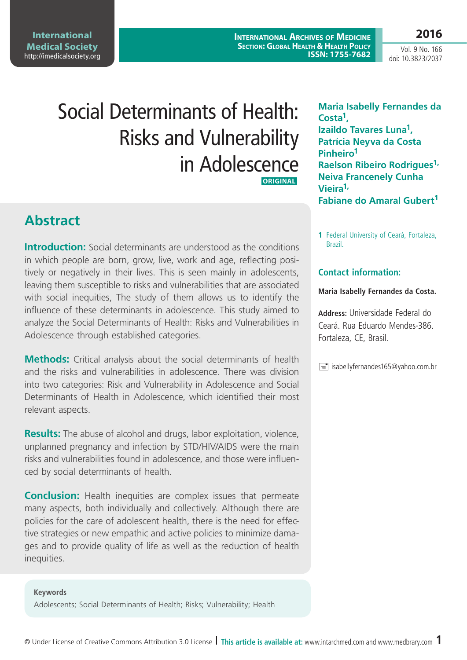**International Medical Society**  <http://imedicalsociety.org>

**International Archives of Medicine Section: Global Health & Health Policy ISSN: 1755-7682**

Vol. 9 No. 166 doi: 10.3823/2037

**2016**

# Social Determinants of Health: Risks and Vulnerability in Adolescence  **ORIGINAL**

**Abstract**

**Introduction:** Social determinants are understood as the conditions in which people are born, grow, live, work and age, reflecting positively or negatively in their lives. This is seen mainly in adolescents, leaving them susceptible to risks and vulnerabilities that are associated with social inequities, The study of them allows us to identify the influence of these determinants in adolescence. This study aimed to analyze the Social Determinants of Health: Risks and Vulnerabilities in Adolescence through established categories.

**Methods:** Critical analysis about the social determinants of health and the risks and vulnerabilities in adolescence. There was division into two categories: Risk and Vulnerability in Adolescence and Social Determinants of Health in Adolescence, which identified their most relevant aspects.

**Results:** The abuse of alcohol and drugs, labor exploitation, violence, unplanned pregnancy and infection by STD/HIV/AIDS were the main risks and vulnerabilities found in adolescence, and those were influenced by social determinants of health.

**Conclusion:** Health inequities are complex issues that permeate many aspects, both individually and collectively. Although there are policies for the care of adolescent health, there is the need for effective strategies or new empathic and active policies to minimize damages and to provide quality of life as well as the reduction of health inequities.

**Keywords**

Adolescents; Social Determinants of Health; Risks; Vulnerability; Health

**Maria Isabelly Fernandes da Costa1, Izaildo Tavares Luna1, Patrícia Neyva da Costa Pinheiro1 Raelson Ribeiro Rodrigues1, Neiva Francenely Cunha Vieira1, Fabiane do Amaral Gubert1**

**1** Federal University of Ceará, Fortaleza, Brazil.

### **Contact information:**

#### **Maria Isabelly Fernandes da Costa.**

**Address:** Universidade Federal do Ceará. Rua Eduardo Mendes-386. Fortaleza, CE, Brasil.

 $\equiv$  isabellyfernandes165@yahoo.com.br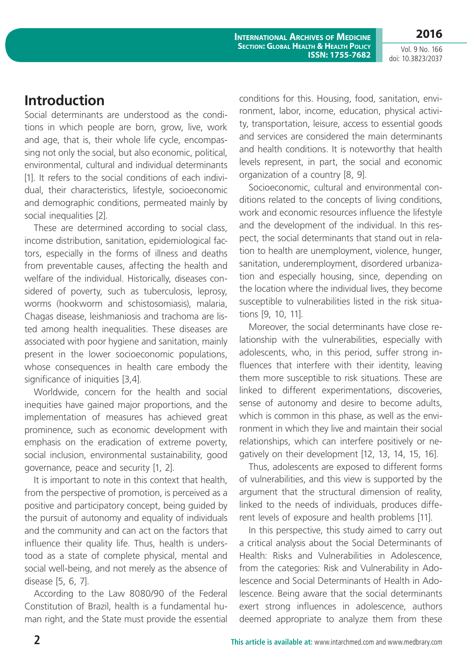Vol. 9 No. 166 doi: 10.3823/2037

**2016**

### **Introduction**

Social determinants are understood as the conditions in which people are born, grow, live, work and age, that is, their whole life cycle, encompassing not only the social, but also economic, political, environmental, cultural and individual determinants [1]. It refers to the social conditions of each individual, their characteristics, lifestyle, socioeconomic and demographic conditions, permeated mainly by social inequalities [2].

These are determined according to social class, income distribution, sanitation, epidemiological factors, especially in the forms of illness and deaths from preventable causes, affecting the health and welfare of the individual. Historically, diseases considered of poverty, such as tuberculosis, leprosy, worms (hookworm and schistosomiasis), malaria, Chagas disease, leishmaniosis and trachoma are listed among health inequalities. These diseases are associated with poor hygiene and sanitation, mainly present in the lower socioeconomic populations, whose consequences in health care embody the significance of iniquities [3,4].

Worldwide, concern for the health and social inequities have gained major proportions, and the implementation of measures has achieved great prominence, such as economic development with emphasis on the eradication of extreme poverty, social inclusion, environmental sustainability, good governance, peace and security [1, 2].

It is important to note in this context that health, from the perspective of promotion, is perceived as a positive and participatory concept, being guided by the pursuit of autonomy and equality of individuals and the community and can act on the factors that influence their quality life. Thus, health is understood as a state of complete physical, mental and social well-being, and not merely as the absence of disease [5, 6, 7].

According to the Law 8080/90 of the Federal Constitution of Brazil, health is a fundamental human right, and the State must provide the essential conditions for this. Housing, food, sanitation, environment, labor, income, education, physical activity, transportation, leisure, access to essential goods and services are considered the main determinants and health conditions. It is noteworthy that health levels represent, in part, the social and economic organization of a country [8, 9].

Socioeconomic, cultural and environmental conditions related to the concepts of living conditions, work and economic resources influence the lifestyle and the development of the individual. In this respect, the social determinants that stand out in relation to health are unemployment, violence, hunger, sanitation, underemployment, disordered urbanization and especially housing, since, depending on the location where the individual lives, they become susceptible to vulnerabilities listed in the risk situations [9, 10, 11].

Moreover, the social determinants have close relationship with the vulnerabilities, especially with adolescents, who, in this period, suffer strong influences that interfere with their identity, leaving them more susceptible to risk situations. These are linked to different experimentations, discoveries, sense of autonomy and desire to become adults, which is common in this phase, as well as the environment in which they live and maintain their social relationships, which can interfere positively or negatively on their development [12, 13, 14, 15, 16].

Thus, adolescents are exposed to different forms of vulnerabilities, and this view is supported by the argument that the structural dimension of reality, linked to the needs of individuals, produces different levels of exposure and health problems [11].

In this perspective, this study aimed to carry out a critical analysis about the Social Determinants of Health: Risks and Vulnerabilities in Adolescence, from the categories: Risk and Vulnerability in Adolescence and Social Determinants of Health in Adolescence. Being aware that the social determinants exert strong influences in adolescence, authors deemed appropriate to analyze them from these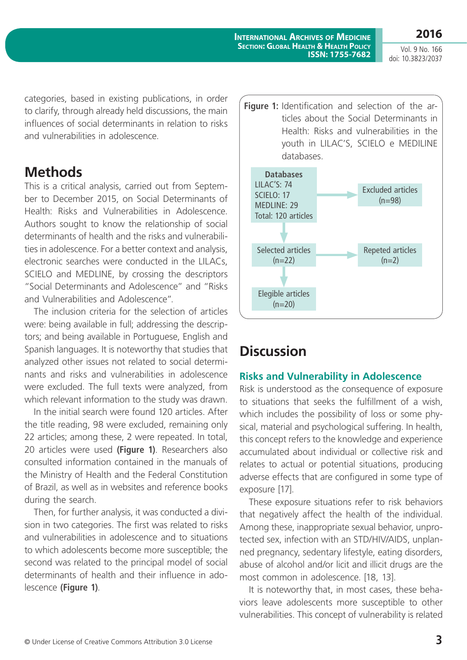**2016** Vol. 9 No. 166

doi: 10.3823/2037

categories, based in existing publications, in order to clarify, through already held discussions, the main influences of social determinants in relation to risks and vulnerabilities in adolescence.

### **Methods**

This is a critical analysis, carried out from September to December 2015, on Social Determinants of Health: Risks and Vulnerabilities in Adolescence. Authors sought to know the relationship of social determinants of health and the risks and vulnerabilities in adolescence. For a better context and analysis, electronic searches were conducted in the LILACs, SCIELO and MEDLINE, by crossing the descriptors "Social Determinants and Adolescence" and "Risks and Vulnerabilities and Adolescence".

The inclusion criteria for the selection of articles were: being available in full; addressing the descriptors; and being available in Portuguese, English and Spanish languages. It is noteworthy that studies that analyzed other issues not related to social determinants and risks and vulnerabilities in adolescence were excluded. The full texts were analyzed, from which relevant information to the study was drawn.

In the initial search were found 120 articles. After the title reading, 98 were excluded, remaining only 22 articles; among these, 2 were repeated. In total, 20 articles were used **(Figure 1)**. Researchers also consulted information contained in the manuals of the Ministry of Health and the Federal Constitution of Brazil, as well as in websites and reference books during the search.

Then, for further analysis, it was conducted a division in two categories. The first was related to risks and vulnerabilities in adolescence and to situations to which adolescents become more susceptible; the second was related to the principal model of social determinants of health and their influence in adolescence **(Figure 1)**.



## **Discussion**

### **Risks and Vulnerability in Adolescence**

Risk is understood as the consequence of exposure to situations that seeks the fulfillment of a wish, which includes the possibility of loss or some physical, material and psychological suffering. In health, this concept refers to the knowledge and experience accumulated about individual or collective risk and relates to actual or potential situations, producing adverse effects that are configured in some type of exposure [17].

These exposure situations refer to risk behaviors that negatively affect the health of the individual. Among these, inappropriate sexual behavior, unprotected sex, infection with an STD/HIV/AIDS, unplanned pregnancy, sedentary lifestyle, eating disorders, abuse of alcohol and/or licit and illicit drugs are the most common in adolescence. [18, 13].

It is noteworthy that, in most cases, these behaviors leave adolescents more susceptible to other vulnerabilities. This concept of vulnerability is related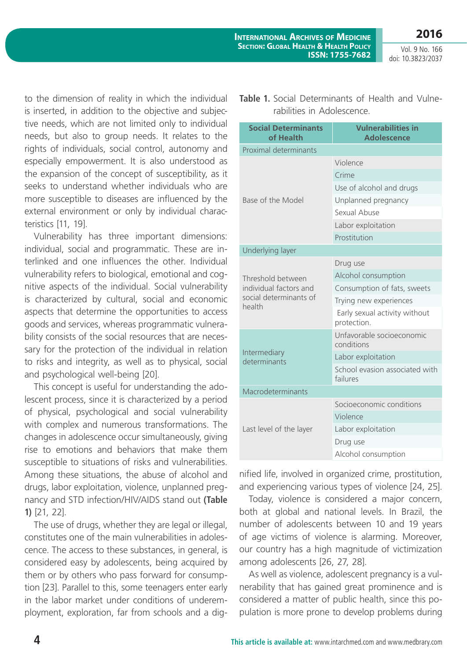**2016** Vol. 9 No. 166

doi: 10.3823/2037

to the dimension of reality in which the individual is inserted, in addition to the objective and subjective needs, which are not limited only to individual needs, but also to group needs. It relates to the rights of individuals, social control, autonomy and especially empowerment. It is also understood as the expansion of the concept of susceptibility, as it seeks to understand whether individuals who are more susceptible to diseases are influenced by the external environment or only by individual characteristics [11, 19].

Vulnerability has three important dimensions: individual, social and programmatic. These are interlinked and one influences the other. Individual vulnerability refers to biological, emotional and cognitive aspects of the individual. Social vulnerability is characterized by cultural, social and economic aspects that determine the opportunities to access goods and services, whereas programmatic vulnerability consists of the social resources that are necessary for the protection of the individual in relation to risks and integrity, as well as to physical, social and psychological well-being [20].

This concept is useful for understanding the adolescent process, since it is characterized by a period of physical, psychological and social vulnerability with complex and numerous transformations. The changes in adolescence occur simultaneously, giving rise to emotions and behaviors that make them susceptible to situations of risks and vulnerabilities. Among these situations, the abuse of alcohol and drugs, labor exploitation, violence, unplanned pregnancy and STD infection/HIV/AIDS stand out **(Table 1)** [21, 22].

The use of drugs, whether they are legal or illegal, constitutes one of the main vulnerabilities in adolescence. The access to these substances, in general, is considered easy by adolescents, being acquired by them or by others who pass forward for consumption [23]. Parallel to this, some teenagers enter early in the labor market under conditions of underemployment, exploration, far from schools and a dig**Table 1.** Social Determinants of Health and Vulnerabilities in Adolescence.

| <b>Social Determinants</b><br>of Health | <b>Vulnerabilities in</b><br><b>Adolescence</b> |  |  |  |  |
|-----------------------------------------|-------------------------------------------------|--|--|--|--|
| <b>Proximal determinants</b>            |                                                 |  |  |  |  |
|                                         | Violence                                        |  |  |  |  |
|                                         | Crime                                           |  |  |  |  |
|                                         | Use of alcohol and drugs                        |  |  |  |  |
| Base of the Model                       | Unplanned pregnancy                             |  |  |  |  |
|                                         | Sexual Abuse                                    |  |  |  |  |
|                                         | Labor exploitation                              |  |  |  |  |
|                                         | Prostitution                                    |  |  |  |  |
| Underlying layer                        |                                                 |  |  |  |  |
|                                         | Drug use                                        |  |  |  |  |
| Threshold between                       | Alcohol consumption                             |  |  |  |  |
| individual factors and                  | Consumption of fats, sweets                     |  |  |  |  |
| social determinants of<br>health        | Trying new experiences                          |  |  |  |  |
|                                         | Early sexual activity without<br>protection.    |  |  |  |  |
|                                         | Unfavorable socioeconomic<br>conditions         |  |  |  |  |
| Intermediary<br>determinants            | Labor exploitation                              |  |  |  |  |
|                                         | School evasion associated with<br>failures      |  |  |  |  |
| Macrodeterminants                       |                                                 |  |  |  |  |
|                                         | Socioeconomic conditions                        |  |  |  |  |
| Last level of the layer                 | Violence                                        |  |  |  |  |
|                                         | Labor exploitation                              |  |  |  |  |
|                                         | Drug use                                        |  |  |  |  |
|                                         | Alcohol consumption                             |  |  |  |  |

nified life, involved in organized crime, prostitution, and experiencing various types of violence [24, 25].

Today, violence is considered a major concern, both at global and national levels. In Brazil, the number of adolescents between 10 and 19 years of age victims of violence is alarming. Moreover, our country has a high magnitude of victimization among adolescents [26, 27, 28].

As well as violence, adolescent pregnancy is a vulnerability that has gained great prominence and is considered a matter of public health, since this population is more prone to develop problems during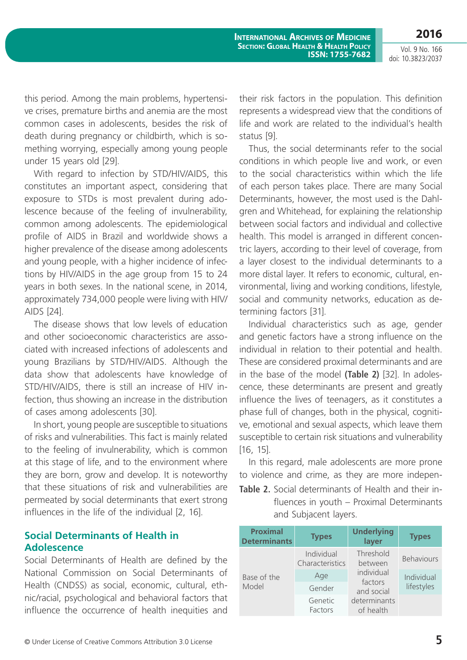Vol. 9 No. 166 doi: 10.3823/2037

**2016**

this period. Among the main problems, hypertensive crises, premature births and anemia are the most common cases in adolescents, besides the risk of death during pregnancy or childbirth, which is something worrying, especially among young people under 15 years old [29].

With regard to infection by STD/HIV/AIDS, this constitutes an important aspect, considering that exposure to STDs is most prevalent during adolescence because of the feeling of invulnerability, common among adolescents. The epidemiological profile of AIDS in Brazil and worldwide shows a higher prevalence of the disease among adolescents and young people, with a higher incidence of infections by HIV/AIDS in the age group from 15 to 24 years in both sexes. In the national scene, in 2014, approximately 734,000 people were living with HIV/ AIDS [24].

The disease shows that low levels of education and other socioeconomic characteristics are associated with increased infections of adolescents and young Brazilians by STD/HIV/AIDS. Although the data show that adolescents have knowledge of STD/HIV/AIDS, there is still an increase of HIV infection, thus showing an increase in the distribution of cases among adolescents [30].

In short, young people are susceptible to situations of risks and vulnerabilities. This fact is mainly related to the feeling of invulnerability, which is common at this stage of life, and to the environment where they are born, grow and develop. It is noteworthy that these situations of risk and vulnerabilities are permeated by social determinants that exert strong influences in the life of the individual [2, 16].

### **Social Determinants of Health in Adolescence**

Social Determinants of Health are defined by the National Commission on Social Determinants of Health (CNDSS) as social, economic, cultural, ethnic/racial, psychological and behavioral factors that influence the occurrence of health inequities and their risk factors in the population. This definition represents a widespread view that the conditions of life and work are related to the individual's health status [9].

Thus, the social determinants refer to the social conditions in which people live and work, or even to the social characteristics within which the life of each person takes place. There are many Social Determinants, however, the most used is the Dahlgren and Whitehead, for explaining the relationship between social factors and individual and collective health. This model is arranged in different concentric layers, according to their level of coverage, from a layer closest to the individual determinants to a more distal layer. It refers to economic, cultural, environmental, living and working conditions, lifestyle, social and community networks, education as determining factors [31].

Individual characteristics such as age, gender and genetic factors have a strong influence on the individual in relation to their potential and health. These are considered proximal determinants and are in the base of the model **(Table 2)** [32]. In adolescence, these determinants are present and greatly influence the lives of teenagers, as it constitutes a phase full of changes, both in the physical, cognitive, emotional and sexual aspects, which leave them susceptible to certain risk situations and vulnerability [16, 15].

In this regard, male adolescents are more prone to violence and crime, as they are more indepen-**Table 2.** Social determinants of Health and their in-

fluences in youth – Proximal Determinants and Subjacent layers.

| <b>Proximal</b><br><b>Determinants</b> | <b>Types</b>                  | <b>Underlying</b><br>layer | <b>Types</b>      |
|----------------------------------------|-------------------------------|----------------------------|-------------------|
|                                        | Individual<br>Characteristics | Threshold<br>between       | <b>Behaviours</b> |
| Base of the                            | Age                           | individual<br>factors      | Individual        |
| Model                                  | Gender<br>and social          |                            | lifestyles        |
|                                        | Genetic<br>Factors            | determinants<br>of health  |                   |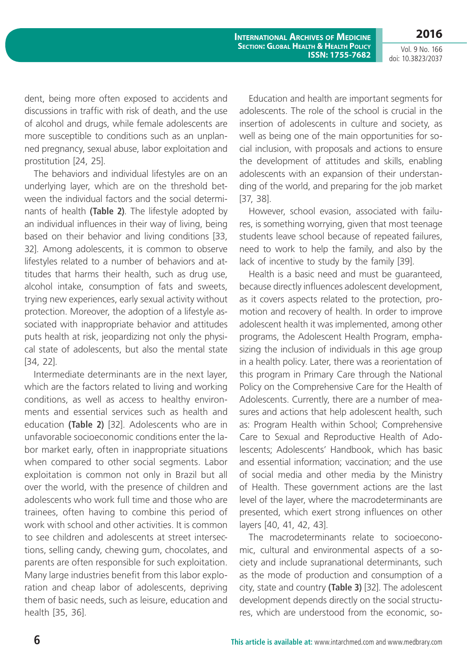Vol. 9 No. 166 doi: 10.3823/2037

**2016**

dent, being more often exposed to accidents and discussions in traffic with risk of death, and the use of alcohol and drugs, while female adolescents are more susceptible to conditions such as an unplanned pregnancy, sexual abuse, labor exploitation and prostitution [24, 25].

The behaviors and individual lifestyles are on an underlying layer, which are on the threshold between the individual factors and the social determinants of health **(Table 2)**. The lifestyle adopted by an individual influences in their way of living, being based on their behavior and living conditions [33, 32]. Among adolescents, it is common to observe lifestyles related to a number of behaviors and attitudes that harms their health, such as drug use, alcohol intake, consumption of fats and sweets, trying new experiences, early sexual activity without protection. Moreover, the adoption of a lifestyle associated with inappropriate behavior and attitudes puts health at risk, jeopardizing not only the physical state of adolescents, but also the mental state [34, 22].

Intermediate determinants are in the next layer, which are the factors related to living and working conditions, as well as access to healthy environments and essential services such as health and education **(Table 2)** [32]. Adolescents who are in unfavorable socioeconomic conditions enter the labor market early, often in inappropriate situations when compared to other social segments. Labor exploitation is common not only in Brazil but all over the world, with the presence of children and adolescents who work full time and those who are trainees, often having to combine this period of work with school and other activities. It is common to see children and adolescents at street intersections, selling candy, chewing gum, chocolates, and parents are often responsible for such exploitation. Many large industries benefit from this labor exploration and cheap labor of adolescents, depriving them of basic needs, such as leisure, education and health [35, 36].

Education and health are important segments for adolescents. The role of the school is crucial in the insertion of adolescents in culture and society, as well as being one of the main opportunities for social inclusion, with proposals and actions to ensure the development of attitudes and skills, enabling adolescents with an expansion of their understanding of the world, and preparing for the job market [37, 38].

However, school evasion, associated with failures, is something worrying, given that most teenage students leave school because of repeated failures, need to work to help the family, and also by the lack of incentive to study by the family [39].

Health is a basic need and must be guaranteed, because directly influences adolescent development, as it covers aspects related to the protection, promotion and recovery of health. In order to improve adolescent health it was implemented, among other programs, the Adolescent Health Program, emphasizing the inclusion of individuals in this age group in a health policy. Later, there was a reorientation of this program in Primary Care through the National Policy on the Comprehensive Care for the Health of Adolescents. Currently, there are a number of measures and actions that help adolescent health, such as: Program Health within School; Comprehensive Care to Sexual and Reproductive Health of Adolescents; Adolescents' Handbook, which has basic and essential information; vaccination; and the use of social media and other media by the Ministry of Health. These government actions are the last level of the layer, where the macrodeterminants are presented, which exert strong influences on other layers [40, 41, 42, 43].

The macrodeterminants relate to socioeconomic, cultural and environmental aspects of a society and include supranational determinants, such as the mode of production and consumption of a city, state and country **(Table 3)** [32]. The adolescent development depends directly on the social structures, which are understood from the economic, so-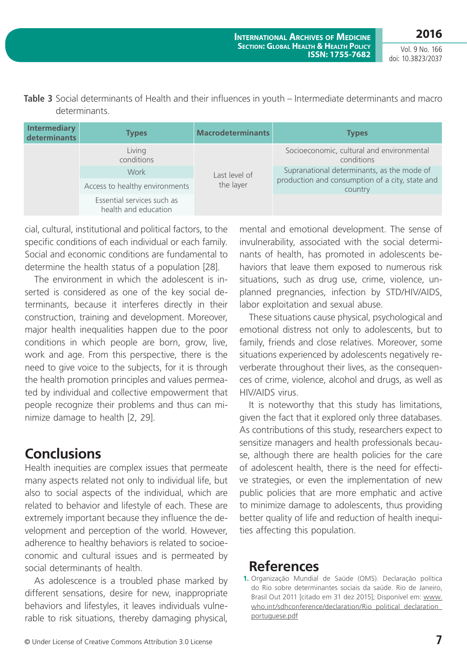**2016**

Vol. 9 No. 166 doi: 10.3823/2037

| Table 3 Social determinants of Health and their influences in youth - Intermediate determinants and macro |
|-----------------------------------------------------------------------------------------------------------|
| determinants.                                                                                             |

| <b>Intermediary</b><br>determinants | <b>Types</b>                                       | <b>Macrodeterminants</b>   | <b>Types</b>                                                                                  |
|-------------------------------------|----------------------------------------------------|----------------------------|-----------------------------------------------------------------------------------------------|
|                                     | Living<br>conditions                               | Last level of<br>the layer | Socioeconomic, cultural and environmental<br>conditions                                       |
|                                     | Work                                               |                            | Supranational determinants, as the mode of<br>production and consumption of a city, state and |
|                                     | Access to healthy environments                     |                            | country                                                                                       |
|                                     | Essential services such as<br>health and education |                            |                                                                                               |

cial, cultural, institutional and political factors, to the specific conditions of each individual or each family. Social and economic conditions are fundamental to determine the health status of a population [28].

The environment in which the adolescent is inserted is considered as one of the key social determinants, because it interferes directly in their construction, training and development. Moreover, major health inequalities happen due to the poor conditions in which people are born, grow, live, work and age. From this perspective, there is the need to give voice to the subjects, for it is through the health promotion principles and values permeated by individual and collective empowerment that people recognize their problems and thus can minimize damage to health [2, 29].

# **Conclusions**

Health inequities are complex issues that permeate many aspects related not only to individual life, but also to social aspects of the individual, which are related to behavior and lifestyle of each. These are extremely important because they influence the development and perception of the world. However, adherence to healthy behaviors is related to socioeconomic and cultural issues and is permeated by social determinants of health.

As adolescence is a troubled phase marked by different sensations, desire for new, inappropriate behaviors and lifestyles, it leaves individuals vulnerable to risk situations, thereby damaging physical, mental and emotional development. The sense of invulnerability, associated with the social determinants of health, has promoted in adolescents behaviors that leave them exposed to numerous risk situations, such as drug use, crime, violence, unplanned pregnancies, infection by STD/HIV/AIDS, labor exploitation and sexual abuse.

These situations cause physical, psychological and emotional distress not only to adolescents, but to family, friends and close relatives. Moreover, some situations experienced by adolescents negatively reverberate throughout their lives, as the consequences of crime, violence, alcohol and drugs, as well as HIV/AIDS virus.

It is noteworthy that this study has limitations, given the fact that it explored only three databases. As contributions of this study, researchers expect to sensitize managers and health professionals because, although there are health policies for the care of adolescent health, there is the need for effective strategies, or even the implementation of new public policies that are more emphatic and active to minimize damage to adolescents, thus providing better quality of life and reduction of health inequities affecting this population.

### **References**

**<sup>1.</sup>** Organização Mundial de Saúde (OMS). Declaração política do Rio sobre determinantes sociais da saúde. Rio de Janeiro, Brasil Out 2011 [citado em 31 dez 2015]; Disponível em: [www.](http://www.who.int/sdhconference/declaration/Rio_political_declaration_portuguese.pdf) who.int/sdhconference/declaration/Rio\_political\_declaration [portuguese.pdf](http://www.who.int/sdhconference/declaration/Rio_political_declaration_portuguese.pdf)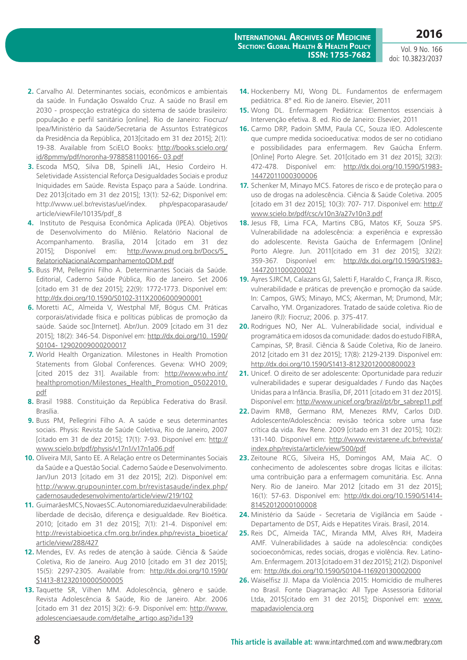Vol. 9 No. 166 doi: 10.3823/2037

- **2.** Carvalho AI. Determinantes sociais, econômicos e ambientais da saúde. In Fundação Oswaldo Cruz. A saúde no Brasil em 2030 - prospecção estratégica do sistema de saúde brasileiro: população e perfil sanitário [online]. Rio de Janeiro: Fiocruz/ Ipea/Ministério da Saúde/Secretaria de Assuntos Estratégicos da Presidência da República, 2013[citado em 31 dez 2015]; 2(1): 19-38. Available from SciELO Books: [http://books.scielo.org/](http://books.scielo.org/id/8pmmy/pdf/noronha-9788581100166- 03.pdf) [id/8pmmy/pdf/noronha-9788581100166- 03.pdf](http://books.scielo.org/id/8pmmy/pdf/noronha-9788581100166- 03.pdf)
- **3.** Escoda MSQ, Silva DB, Spinelli JAL, Hesio Cordeiro H. Seletividade Assistencial Reforça Desigualdades Sociais e produz Iniquidades em Saúde. Revista Espaço para a Saúde. Londrina. Dez 2013[citado em 31 dez 2015]; 13(1): 52-62; Disponível em: http://www.uel.br/revistas/uel/index. php/espacoparasaude/ article/viewFile/10135/pdf\_8
- **4.** Instituto de Pesquisa Econômica Aplicada (IPEA). Objetivos de Desenvolvimento do Milênio. Relatório Nacional de Acompanhamento. Brasília, 2014 [citado em 31 dez 2015]; Disponível em: [http://www.pnud.org.br/Docs/5\\_](http://www.pnud.org.br/Docs/5_RelatorioNacionalAcompanhamentoODM.pdf) [RelatorioNacionalAcompanhamentoODM.pdf](http://www.pnud.org.br/Docs/5_RelatorioNacionalAcompanhamentoODM.pdf)
- **5.** Buss PM, Pellegrini Filho A. Determinantes Sociais da Saúde. Editorial, Caderno Saúde Pública, Rio de Janeiro. Set 2006 [citado em 31 de dez 2015]; 22(9): 1772-1773. Disponível em: <http://dx.doi.org/10.1590/S0102-311X2006000900001>
- **6.** Moretti AC, Almeida V, Westphal MF, Bógus CM. Práticas corporais/atividade física e políticas públicas de promoção da saúde. Saúde soc.[Internet]. Abr/Jun. 2009 [citado em 31 dez 2015]; 18(2): 346-54. Disponível em: [http://dx.doi.org/10. 1590/](http://dx.doi.org/10. 1590/S0104- 12902009000200017) [S0104- 12902009000200017](http://dx.doi.org/10. 1590/S0104- 12902009000200017)
- **7.** World Health Organization. Milestones in Health Promotion Statements from Global Conferences. Gevena: WHO 2009; [cited 2015 dez 31]. Available from: [http://www.who.int/](http://www.who.int/healthpromotion/Milestones_Health_Promotion_05022010.pdf) [healthpromotion/Milestones\\_Health\\_Promotion\\_05022010.](http://www.who.int/healthpromotion/Milestones_Health_Promotion_05022010.pdf) [pdf](http://www.who.int/healthpromotion/Milestones_Health_Promotion_05022010.pdf)
- **8.** Brasil 1988. Constituição da República Federativa do Brasil. Brasília.
- **9.** Buss PM, Pellegrini Filho A. A saúde e seus determinantes sociais. Physis: Revista de Saúde Coletiva, Rio de Janeiro, 2007 [citado em 31 de dez 2015]; 17(1): 7-93. Disponível em: [http://](http://www.scielo.br/pdf/physis/v17n1/v17n1a06.pdf) [www.scielo.br/pdf/physis/v17n1/v17n1a06.pdf](http://www.scielo.br/pdf/physis/v17n1/v17n1a06.pdf)
- **10.** Oliveira MJI, Santo EE. A Relação entre os Determinantes Sociais da Saúde e a Questão Social. Caderno Saúde e Desenvolvimento. Jan/Jun 2013 [citado em 31 dez 2015]; 2(2). Disponível em: [http://www.grupouninter.com.br/revistasaude/index.php/](http://www.grupouninter.com.br/revistasaude/index.php/cadernosaudedesenvolvimento/article/view/219/102) [cadernosaudedesenvolvimento/article/view/219/102](http://www.grupouninter.com.br/revistasaude/index.php/cadernosaudedesenvolvimento/article/view/219/102)
- 11. Guimarães MCS, Novaes SC. Autonomia reduzida e vulnera bilidade: liberdade de decisão, diferença e desigualdade. Rev Bioética. 2010; [citado em 31 dez 2015]; 7(1): 21-4. Disponível em: [http://revistabioetica.cfm.org.br/index.php/revista\\_bioetica/](http://revistabioetica.cfm.org.br/index.php/revista_bioetica/article/view/288/427) [article/view/288/427](http://revistabioetica.cfm.org.br/index.php/revista_bioetica/article/view/288/427)
- **12.** Mendes, EV. As redes de atenção à saúde. Ciência & Saúde Coletiva, Rio de Janeiro. Aug 2010 [citado em 31 dez 2015]; 15(5): 2297-2305. Available from: [http://dx.doi.org/10.1590/](http://dx.doi.org/10.1590/S1413-81232010000500005) [S1413-81232010000500005](http://dx.doi.org/10.1590/S1413-81232010000500005)
- **13.** Taquette SR, Vilhen MM. Adolescência, gênero e saúde. Revista Adolescência & Saúde, Rio de Janeiro. Abr. 2006 [citado em 31 dez 2015] 3(2): 6-9. Disponível em: [http://www.](http://www.adolescenciaesaude.com/detalhe_artigo.asp?id=139) [adolescenciaesaude.com/detalhe\\_artigo.asp?id=139](http://www.adolescenciaesaude.com/detalhe_artigo.asp?id=139)
- **14.** Hockenberry MJ, Wong DL. Fundamentos de enfermagem pediátrica. 8º ed. Rio de Janeiro. Elsevier, 2011
- **15.** Wong DL. Enfermagem Pediátrica: Elementos essenciais à Intervenção efetiva. 8. ed. Rio de Janeiro: Elsevier, 2011
- **16.** Carmo DRP, Padoin SMM, Paula CC, Souza IEO. Adolescente que cumpre medida socioeducativa: modos de ser no cotidiano e possibilidades para enfermagem. Rev Gaúcha Enferm. [Online] Porto Alegre. Set. 201[citado em 31 dez 2015]; 32(3): 472-478. Disponível em: [http://dx.doi.org/10.1590/S1983-](http://dx.doi.org/10.1590/S1983-14472011000300006) [14472011000300006](http://dx.doi.org/10.1590/S1983-14472011000300006)
- **17.** Schenker M, Minayo MCS. Fatores de risco e de proteção para o uso de drogas na adolescência. Ciência & Saúde Coletiva. 2005 [citado em 31 dez 2015]; 10(3): 707- 717. Disponível em: [http://](http://www.scielo.br/pdf/csc/v10n3/a27v10n3.pdf) [www.scielo.br/pdf/csc/v10n3/a27v10n3.pdf](http://www.scielo.br/pdf/csc/v10n3/a27v10n3.pdf)
- **18.** Jesus FB, Lima FCA, Martins CBG, Matos KF, Souza SPS. Vulnerabilidade na adolescência: a experiência e expressão do adolescente. Revista Gaúcha de Enfermagem [Online] Porto Alegre. Jun. 2011[citado em 31 dez 2015]; 32(2): 359-367. Disponível em: [http://dx.doi.org/10.1590/S1983-](http://dx.doi.org/10.1590/S1983-14472011000200021) [14472011000200021](http://dx.doi.org/10.1590/S1983-14472011000200021)
- **19.** Ayres SJRCM, Calazans GJ, Saletti F, Haraldo C, França JR. Risco, vulnerabilidade e práticas de prevenção e promoção da saúde. In: Campos, GWS; Minayo, MCS; Akerman, M; Drumond, MJr; Carvalho, YM. Organizadores. Tratado de saúde coletiva. Rio de Janeiro (RJ): Fiocruz; 2006. p. 375-417.
- **20.** Rodrigues NO, Ner AL. Vulnerabilidade social, individual e programática em idosos da comunidade: dados do estudo FIBRA, Campinas, SP, Brasil. Ciência & Saúde Coletiva, Rio de Janeiro. 2012 [citado em 31 dez 2015]; 17(8): 2129-2139. Disponível em: <http://dx.doi.org/10.1590/S1413-81232012000800023>
- **21.** Unicef. O direito de ser adolescente: Oportunidade para reduzir vulnerabilidades e superar desigualdades / Fundo das Nações Unidas para a Infância. Brasília, DF, 2011 [citado em 31 dez 2015]. Disponível em: [http://www.unicef.org/brazil/pt/br\\_sabrep11.pdf](http://www.unicef.org/brazil/pt/br_sabrep11.pdf)
- **22.** Davim RMB, Germano RM, Menezes RMV, Carlos DJD. Adolescente/Adolescência: revisão teórica sobre uma fase crítica da vida. Rev Rene. 2009 [citado em 31 dez 2015]; 10(2): 131-140. Disponível em: [http://www.revistarene.ufc.br/revista/](http://www.revistarene.ufc.br/revista/index.php/revista/article/view/500/pdf) [index.php/revista/article/view/500/pdf](http://www.revistarene.ufc.br/revista/index.php/revista/article/view/500/pdf)
- **23.** Zeitoune RCG, Silveira HS, Domingos AM, Maia AC. O conhecimento de adolescentes sobre drogas lícitas e ilícitas: uma contribuição para a enfermagem comunitária. Esc. Anna Nery. Rio de Janeiro. Mar 2012 [citado em 31 dez 2015]; 16(1): 57-63. Disponível em: [http://dx.doi.org/10.1590/S1414-](http://dx.doi.org/10.1590/S1414-81452012000100008) [81452012000100008](http://dx.doi.org/10.1590/S1414-81452012000100008)
- **24.** Ministério da Saúde Secretaria de Vigilância em Saúde Departamento de DST, Aids e Hepatites Virais. Brasil, 2014.
- **25.** Reis DC, Almeida TAC, Miranda MM, Alves RH, Madeira AMF. Vulnerabilidades à saúde na adolescência: condições socioeconômicas, redes sociais, drogas e violência. Rev. Latino-Am. Enfermagem. 2013 [citado em 31 dez 2015]; 21(2). Disponível em: <http://dx.doi.org/10.1590/S0104-116920130002000>
- **26.** Waiselfisz JJ. Mapa da Violência 2015: Homicídio de mulheres no Brasil. Fonte Diagramação: All Type Assessoria Editorial Ltda, 2015[citado em 31 dez 2015]; Disponível em: [www.](http://www.mapadaviolencia.org) [mapadaviolencia.org](http://www.mapadaviolencia.org)